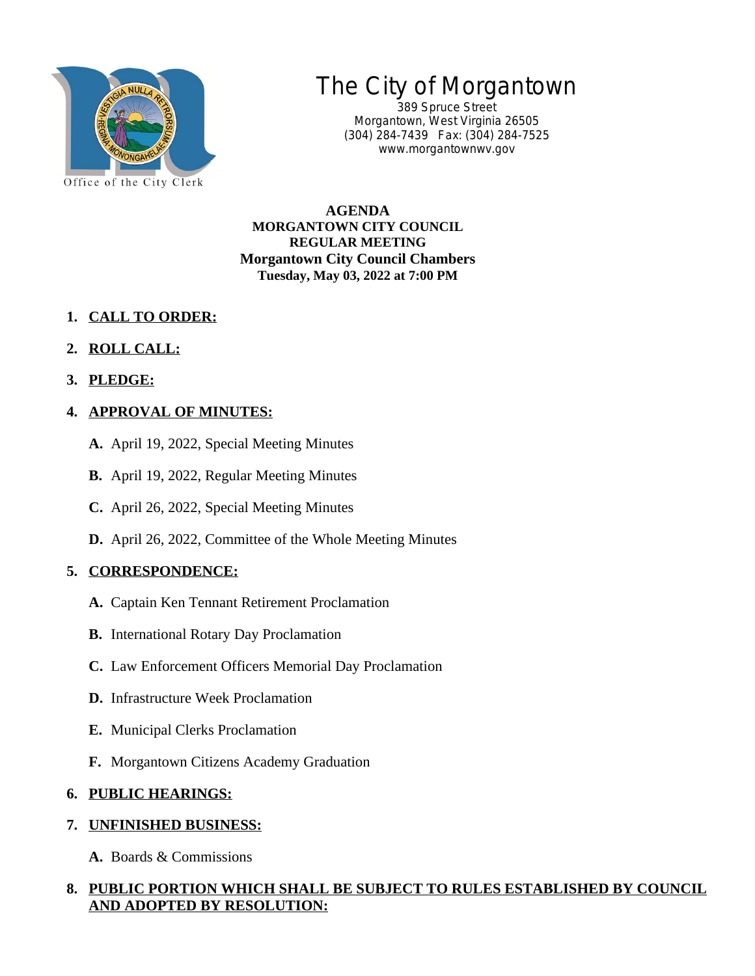

# The City of Morgantown

389 Spruce Street Morgantown, West Virginia 26505 (304) 284-7439 Fax: (304) 284-7525 www.morgantownwv.gov

**AGENDA MORGANTOWN CITY COUNCIL REGULAR MEETING Morgantown City Council Chambers Tuesday, May 03, 2022 at 7:00 PM**

- **1. CALL TO ORDER:**
- **2. ROLL CALL:**
- **3. PLEDGE:**

## **4. APPROVAL OF MINUTES:**

- **A.** April 19, 2022, Special Meeting Minutes
- **B.** April 19, 2022, Regular Meeting Minutes
- **C.** April 26, 2022, Special Meeting Minutes
- **D.** April 26, 2022, Committee of the Whole Meeting Minutes

## **5. CORRESPONDENCE:**

- **A.** Captain Ken Tennant Retirement Proclamation
- **B.** International Rotary Day Proclamation
- **C.** Law Enforcement Officers Memorial Day Proclamation
- **D.** Infrastructure Week Proclamation
- **E.** Municipal Clerks Proclamation
- **F.** Morgantown Citizens Academy Graduation

## **6. PUBLIC HEARINGS:**

## **7. UNFINISHED BUSINESS:**

**A.** Boards & Commissions

#### **8. PUBLIC PORTION WHICH SHALL BE SUBJECT TO RULES ESTABLISHED BY COUNCIL AND ADOPTED BY RESOLUTION:**